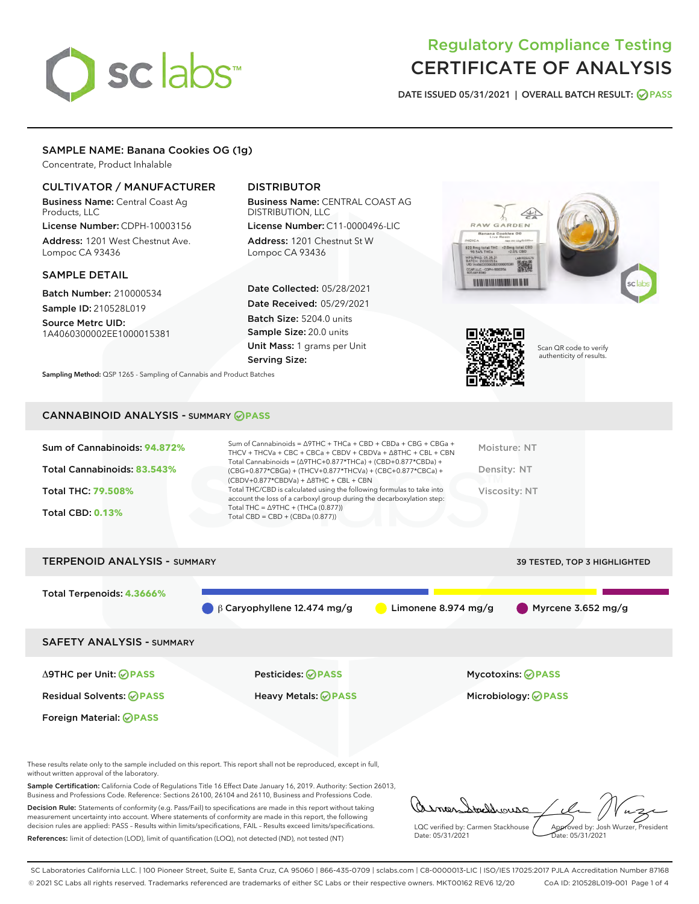# sclabs

## Regulatory Compliance Testing CERTIFICATE OF ANALYSIS

DATE ISSUED 05/31/2021 | OVERALL BATCH RESULT: @ PASS

#### SAMPLE NAME: Banana Cookies OG (1g)

Concentrate, Product Inhalable

#### CULTIVATOR / MANUFACTURER

Business Name: Central Coast Ag Products, LLC

License Number: CDPH-10003156 Address: 1201 West Chestnut Ave. Lompoc CA 93436

#### SAMPLE DETAIL

Batch Number: 210000534 Sample ID: 210528L019

Source Metrc UID: 1A4060300002EE1000015381

### DISTRIBUTOR

Business Name: CENTRAL COAST AG DISTRIBUTION, LLC

License Number: C11-0000496-LIC Address: 1201 Chestnut St W Lompoc CA 93436

Date Collected: 05/28/2021 Date Received: 05/29/2021 Batch Size: 5204.0 units Sample Size: 20.0 units Unit Mass: 1 grams per Unit Serving Size:





Scan QR code to verify authenticity of results.

Sampling Method: QSP 1265 - Sampling of Cannabis and Product Batches

#### CANNABINOID ANALYSIS - SUMMARY **PASS**

| Sum of Cannabinoids: 94.872%<br>Total Cannabinoids: 83.543%<br>Total THC: 79.508%<br><b>Total CBD: 0.13%</b> | Sum of Cannabinoids = $\triangle$ 9THC + THCa + CBD + CBDa + CBG + CBGa +<br>THCV + THCVa + CBC + CBCa + CBDV + CBDVa + $\Delta$ 8THC + CBL + CBN<br>Total Cannabinoids = $(\Delta 9THC + 0.877*THCa) + (CBD+0.877*CBDa) +$<br>(CBG+0.877*CBGa) + (THCV+0.877*THCVa) + (CBC+0.877*CBCa) +<br>$(CBDV+0.877*CBDVa) + \Delta 8THC + CBL + CBN$<br>Total THC/CBD is calculated using the following formulas to take into<br>account the loss of a carboxyl group during the decarboxylation step:<br>Total THC = $\triangle$ 9THC + (THCa (0.877))<br>Total CBD = $CBD + (CBDa (0.877))$ | Moisture: NT<br>Density: NT<br>Viscosity: NT |
|--------------------------------------------------------------------------------------------------------------|--------------------------------------------------------------------------------------------------------------------------------------------------------------------------------------------------------------------------------------------------------------------------------------------------------------------------------------------------------------------------------------------------------------------------------------------------------------------------------------------------------------------------------------------------------------------------------------|----------------------------------------------|
| <b>TERPENOID ANALYSIS - SUMMARY</b>                                                                          |                                                                                                                                                                                                                                                                                                                                                                                                                                                                                                                                                                                      | 39 TESTED, TOP 3 HIGHLIGHTED                 |

Total Terpenoids: **4.3666%**  $\beta$  Caryophyllene 12.474 mg/g  $\qquad \qquad$  Limonene 8.974 mg/g  $\qquad \qquad$  Myrcene 3.652 mg/g SAFETY ANALYSIS - SUMMARY Δ9THC per Unit: **PASS** Pesticides: **PASS** Mycotoxins: **PASS** Residual Solvents: **PASS** Heavy Metals: **PASS** Microbiology: **PASS** Foreign Material: **PASS**

These results relate only to the sample included on this report. This report shall not be reproduced, except in full, without written approval of the laboratory.

Sample Certification: California Code of Regulations Title 16 Effect Date January 16, 2019. Authority: Section 26013, Business and Professions Code. Reference: Sections 26100, 26104 and 26110, Business and Professions Code.

Decision Rule: Statements of conformity (e.g. Pass/Fail) to specifications are made in this report without taking measurement uncertainty into account. Where statements of conformity are made in this report, the following decision rules are applied: PASS – Results within limits/specifications, FAIL – Results exceed limits/specifications. References: limit of detection (LOD), limit of quantification (LOQ), not detected (ND), not tested (NT)

addrouse LQC verified by: Carmen Stackhouse Approved by: Josh Wurzer, President Date: 05/31/2021 ate: 05/31/2021

SC Laboratories California LLC. | 100 Pioneer Street, Suite E, Santa Cruz, CA 95060 | 866-435-0709 | sclabs.com | C8-0000013-LIC | ISO/IES 17025:2017 PJLA Accreditation Number 87168 © 2021 SC Labs all rights reserved. Trademarks referenced are trademarks of either SC Labs or their respective owners. MKT00162 REV6 12/20 CoA ID: 210528L019-001 Page 1 of 4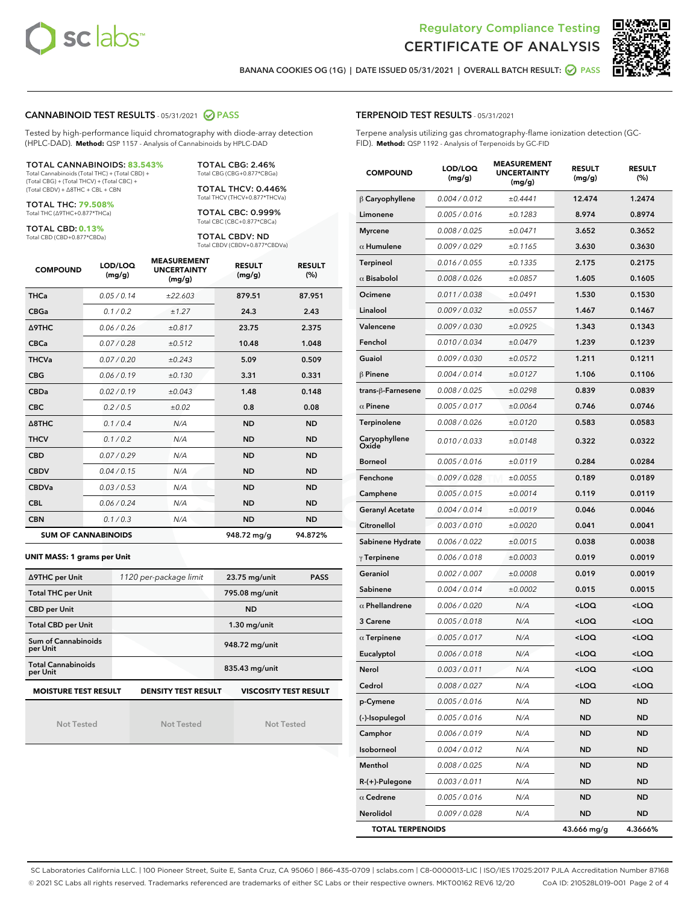



BANANA COOKIES OG (1G) | DATE ISSUED 05/31/2021 | OVERALL BATCH RESULT: @ PASS

#### CANNABINOID TEST RESULTS - 05/31/2021 2 PASS

Tested by high-performance liquid chromatography with diode-array detection (HPLC-DAD). **Method:** QSP 1157 - Analysis of Cannabinoids by HPLC-DAD

#### TOTAL CANNABINOIDS: **83.543%** Total Cannabinoids (Total THC) + (Total CBD) +

(Total CBG) + (Total THCV) + (Total CBC) + (Total CBDV) + ∆8THC + CBL + CBN

TOTAL THC: **79.508%** Total THC (∆9THC+0.877\*THCa)

TOTAL CBD: **0.13%**

Total CBD (CBD+0.877\*CBDa)

TOTAL CBG: 2.46% Total CBG (CBG+0.877\*CBGa)

TOTAL THCV: 0.446% Total THCV (THCV+0.877\*THCVa)

TOTAL CBC: 0.999% Total CBC (CBC+0.877\*CBCa)

TOTAL CBDV: ND Total CBDV (CBDV+0.877\*CBDVa)

| <b>COMPOUND</b>  | LOD/LOQ<br>(mg/g)          | <b>MEASUREMENT</b><br><b>UNCERTAINTY</b><br>(mg/g) | <b>RESULT</b><br>(mg/g) | <b>RESULT</b><br>(%) |
|------------------|----------------------------|----------------------------------------------------|-------------------------|----------------------|
| <b>THCa</b>      | 0.05 / 0.14                | ±22.603                                            | 879.51                  | 87.951               |
| <b>CBGa</b>      | 0.1 / 0.2                  | ±1.27                                              | 24.3                    | 2.43                 |
| <b>A9THC</b>     | 0.06 / 0.26                | ±0.817                                             | 23.75                   | 2.375                |
| <b>CBCa</b>      | 0.07 / 0.28                | ±0.512                                             | 10.48                   | 1.048                |
| <b>THCVa</b>     | 0.07/0.20                  | ±0.243                                             | 5.09                    | 0.509                |
| <b>CBG</b>       | 0.06/0.19                  | ±0.130                                             | 3.31                    | 0.331                |
| <b>CBDa</b>      | 0.02/0.19                  | ±0.043                                             | 1.48                    | 0.148                |
| <b>CBC</b>       | 0.2 / 0.5                  | ±0.02                                              | 0.8                     | 0.08                 |
| $\triangle$ 8THC | 0.1/0.4                    | N/A                                                | <b>ND</b>               | <b>ND</b>            |
| <b>THCV</b>      | 0.1/0.2                    | N/A                                                | <b>ND</b>               | <b>ND</b>            |
| <b>CBD</b>       | 0.07/0.29                  | N/A                                                | <b>ND</b>               | <b>ND</b>            |
| <b>CBDV</b>      | 0.04 / 0.15                | N/A                                                | <b>ND</b>               | <b>ND</b>            |
| <b>CBDVa</b>     | 0.03/0.53                  | N/A                                                | <b>ND</b>               | <b>ND</b>            |
| <b>CBL</b>       | 0.06 / 0.24                | N/A                                                | <b>ND</b>               | <b>ND</b>            |
| <b>CBN</b>       | 0.1 / 0.3                  | N/A                                                | <b>ND</b>               | <b>ND</b>            |
|                  | <b>SUM OF CANNABINOIDS</b> |                                                    | 948.72 mg/g             | 94.872%              |

#### **UNIT MASS: 1 grams per Unit**

| ∆9THC per Unit                                                                            | 1120 per-package limit | 23.75 mg/unit<br><b>PASS</b> |  |  |  |
|-------------------------------------------------------------------------------------------|------------------------|------------------------------|--|--|--|
| <b>Total THC per Unit</b>                                                                 |                        | 795.08 mg/unit               |  |  |  |
| <b>CBD per Unit</b>                                                                       |                        | <b>ND</b>                    |  |  |  |
| <b>Total CBD per Unit</b>                                                                 |                        | $1.30$ mg/unit               |  |  |  |
| Sum of Cannabinoids<br>per Unit                                                           |                        | 948.72 mg/unit               |  |  |  |
| <b>Total Cannabinoids</b><br>per Unit                                                     |                        | 835.43 mg/unit               |  |  |  |
| <b>MOISTURE TEST RESULT</b><br><b>DENSITY TEST RESULT</b><br><b>VISCOSITY TEST RESULT</b> |                        |                              |  |  |  |

Not Tested

Not Tested

Not Tested

#### TERPENOID TEST RESULTS - 05/31/2021

Terpene analysis utilizing gas chromatography-flame ionization detection (GC-FID). **Method:** QSP 1192 - Analysis of Terpenoids by GC-FID

| <b>COMPOUND</b>         | LOD/LOQ<br>(mg/g) | <b>MEASUREMENT</b><br><b>UNCERTAINTY</b><br>(mg/g) | <b>RESULT</b><br>(mg/g)                         | <b>RESULT</b><br>(%) |
|-------------------------|-------------------|----------------------------------------------------|-------------------------------------------------|----------------------|
| $\beta$ Caryophyllene   | 0.004 / 0.012     | ±0.4441                                            | 12.474                                          | 1.2474               |
| Limonene                | 0.005 / 0.016     | ±0.1283                                            | 8.974                                           | 0.8974               |
| <b>Myrcene</b>          | 0.008 / 0.025     | ±0.0471                                            | 3.652                                           | 0.3652               |
| $\alpha$ Humulene       | 0.009 / 0.029     | ±0.1165                                            | 3.630                                           | 0.3630               |
| <b>Terpineol</b>        | 0.016 / 0.055     | ±0.1335                                            | 2.175                                           | 0.2175               |
| $\alpha$ Bisabolol      | 0.008 / 0.026     | ±0.0857                                            | 1.605                                           | 0.1605               |
| Ocimene                 | 0.011 / 0.038     | ±0.0491                                            | 1.530                                           | 0.1530               |
| Linalool                | 0.009 / 0.032     | ±0.0557                                            | 1.467                                           | 0.1467               |
| Valencene               | 0.009 / 0.030     | ±0.0925                                            | 1.343                                           | 0.1343               |
| Fenchol                 | 0.010 / 0.034     | ±0.0479                                            | 1.239                                           | 0.1239               |
| Guaiol                  | 0.009 / 0.030     | ±0.0572                                            | 1.211                                           | 0.1211               |
| $\beta$ Pinene          | 0.004 / 0.014     | ±0.0127                                            | 1.106                                           | 0.1106               |
| trans-ß-Farnesene       | 0.008 / 0.025     | ±0.0298                                            | 0.839                                           | 0.0839               |
| $\alpha$ Pinene         | 0.005 / 0.017     | ±0.0064                                            | 0.746                                           | 0.0746               |
| Terpinolene             | 0.008 / 0.026     | ±0.0120                                            | 0.583                                           | 0.0583               |
| Caryophyllene<br>Oxide  | 0.010 / 0.033     | ±0.0148                                            | 0.322                                           | 0.0322               |
| <b>Borneol</b>          | 0.005 / 0.016     | ±0.0119                                            | 0.284                                           | 0.0284               |
| Fenchone                | 0.009/0.028       | ±0.0055                                            | 0.189                                           | 0.0189               |
| Camphene                | 0.005 / 0.015     | ±0.0014                                            | 0.119                                           | 0.0119               |
| <b>Geranyl Acetate</b>  | 0.004 / 0.014     | ±0.0019                                            | 0.046                                           | 0.0046               |
| Citronellol             | 0.003 / 0.010     | ±0.0020                                            | 0.041                                           | 0.0041               |
| Sabinene Hydrate        | 0.006 / 0.022     | ±0.0015                                            | 0.038                                           | 0.0038               |
| $\gamma$ Terpinene      | 0.006 / 0.018     | ±0.0003                                            | 0.019                                           | 0.0019               |
| Geraniol                | 0.002 / 0.007     | ±0.0008                                            | 0.019                                           | 0.0019               |
| Sabinene                | 0.004 / 0.014     | ±0.0002                                            | 0.015                                           | 0.0015               |
| $\alpha$ Phellandrene   | 0.006 / 0.020     | N/A                                                | <loq< th=""><th><loq< th=""></loq<></th></loq<> | <loq< th=""></loq<>  |
| 3 Carene                | 0.005 / 0.018     | N/A                                                | <loq< th=""><th><loq< th=""></loq<></th></loq<> | <loq< th=""></loq<>  |
| $\alpha$ Terpinene      | 0.005 / 0.017     | N/A                                                | <loq< th=""><th><loq< th=""></loq<></th></loq<> | <loq< th=""></loq<>  |
| Eucalyptol              | 0.006 / 0.018     | N/A                                                | <loq< th=""><th><loq< th=""></loq<></th></loq<> | <loq< th=""></loq<>  |
| Nerol                   | 0.003 / 0.011     | N/A                                                | $<$ l OO                                        | <loq< th=""></loq<>  |
| Cedrol                  | 0.008 / 0.027     | N/A                                                | <loq< th=""><th><loq< th=""></loq<></th></loq<> | <loq< th=""></loq<>  |
| p-Cymene                | 0.005 / 0.016     | N/A                                                | <b>ND</b>                                       | ND                   |
| (-)-Isopulegol          | 0.005 / 0.016     | N/A                                                | ND                                              | ND                   |
| Camphor                 | 0.006 / 0.019     | N/A                                                | ND                                              | ND                   |
| Isoborneol              | 0.004 / 0.012     | N/A                                                | ND                                              | ND                   |
| Menthol                 | 0.008 / 0.025     | N/A                                                | ND                                              | ND                   |
| $R-(+)$ -Pulegone       | 0.003 / 0.011     | N/A                                                | ND                                              | ND                   |
| $\alpha$ Cedrene        | 0.005 / 0.016     | N/A                                                | ND                                              | ND                   |
| Nerolidol               | 0.009 / 0.028     | N/A                                                | ND                                              | ND                   |
| <b>TOTAL TERPENOIDS</b> |                   |                                                    | 43.666 mg/g                                     | 4.3666%              |

SC Laboratories California LLC. | 100 Pioneer Street, Suite E, Santa Cruz, CA 95060 | 866-435-0709 | sclabs.com | C8-0000013-LIC | ISO/IES 17025:2017 PJLA Accreditation Number 87168 © 2021 SC Labs all rights reserved. Trademarks referenced are trademarks of either SC Labs or their respective owners. MKT00162 REV6 12/20 CoA ID: 210528L019-001 Page 2 of 4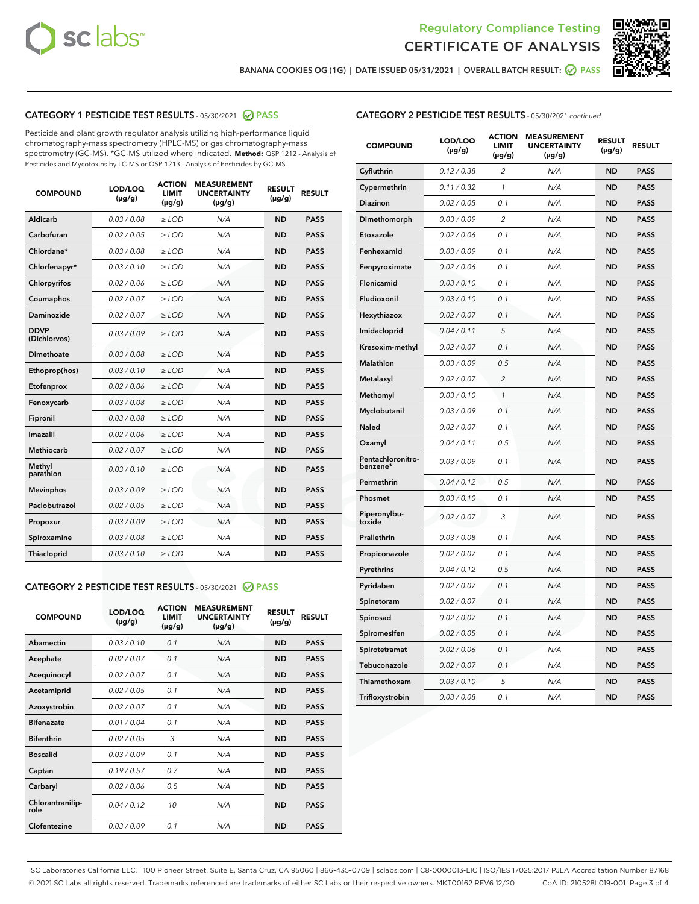



BANANA COOKIES OG (1G) | DATE ISSUED 05/31/2021 | OVERALL BATCH RESULT: @ PASS

#### CATEGORY 1 PESTICIDE TEST RESULTS - 05/30/2021 2 PASS

Pesticide and plant growth regulator analysis utilizing high-performance liquid chromatography-mass spectrometry (HPLC-MS) or gas chromatography-mass spectrometry (GC-MS). \*GC-MS utilized where indicated. **Method:** QSP 1212 - Analysis of Pesticides and Mycotoxins by LC-MS or QSP 1213 - Analysis of Pesticides by GC-MS

| <b>COMPOUND</b>             | LOD/LOQ<br>$(\mu g/g)$ | <b>ACTION</b><br><b>LIMIT</b><br>$(\mu g/g)$ | <b>MEASUREMENT</b><br><b>UNCERTAINTY</b><br>$(\mu g/g)$ | <b>RESULT</b><br>$(\mu g/g)$ | <b>RESULT</b> |
|-----------------------------|------------------------|----------------------------------------------|---------------------------------------------------------|------------------------------|---------------|
| Aldicarb                    | 0.03/0.08              | $>$ LOD                                      | N/A                                                     | <b>ND</b>                    | <b>PASS</b>   |
| Carbofuran                  | 0.02 / 0.05            | $\ge$ LOD                                    | N/A                                                     | <b>ND</b>                    | <b>PASS</b>   |
| Chlordane*                  | 0.03 / 0.08            | $\geq$ LOD                                   | N/A                                                     | <b>ND</b>                    | <b>PASS</b>   |
| Chlorfenapyr*               | 0.03/0.10              | $\ge$ LOD                                    | N/A                                                     | <b>ND</b>                    | <b>PASS</b>   |
| Chlorpyrifos                | 0.02 / 0.06            | $\ge$ LOD                                    | N/A                                                     | <b>ND</b>                    | <b>PASS</b>   |
| Coumaphos                   | 0.02 / 0.07            | $\ge$ LOD                                    | N/A                                                     | <b>ND</b>                    | <b>PASS</b>   |
| Daminozide                  | 0.02/0.07              | $>$ LOD                                      | N/A                                                     | <b>ND</b>                    | <b>PASS</b>   |
| <b>DDVP</b><br>(Dichlorvos) | 0.03/0.09              | $\ge$ LOD                                    | N/A                                                     | <b>ND</b>                    | <b>PASS</b>   |
| <b>Dimethoate</b>           | 0.03/0.08              | $\ge$ LOD                                    | N/A                                                     | <b>ND</b>                    | <b>PASS</b>   |
| Ethoprop(hos)               | 0.03/0.10              | $\ge$ LOD                                    | N/A                                                     | <b>ND</b>                    | <b>PASS</b>   |
| Etofenprox                  | 0.02 / 0.06            | $\ge$ LOD                                    | N/A                                                     | <b>ND</b>                    | <b>PASS</b>   |
| Fenoxycarb                  | 0.03/0.08              | $\ge$ LOD                                    | N/A                                                     | <b>ND</b>                    | <b>PASS</b>   |
| Fipronil                    | 0.03/0.08              | $\ge$ LOD                                    | N/A                                                     | <b>ND</b>                    | <b>PASS</b>   |
| Imazalil                    | 0.02 / 0.06            | $>$ LOD                                      | N/A                                                     | <b>ND</b>                    | <b>PASS</b>   |
| Methiocarb                  | 0.02 / 0.07            | $>$ LOD                                      | N/A                                                     | <b>ND</b>                    | <b>PASS</b>   |
| Methyl<br>parathion         | 0.03/0.10              | $>$ LOD                                      | N/A                                                     | <b>ND</b>                    | <b>PASS</b>   |
| <b>Mevinphos</b>            | 0.03/0.09              | $\ge$ LOD                                    | N/A                                                     | <b>ND</b>                    | <b>PASS</b>   |
| Paclobutrazol               | 0.02 / 0.05            | $>$ LOD                                      | N/A                                                     | <b>ND</b>                    | <b>PASS</b>   |
| Propoxur                    | 0.03/0.09              | $\ge$ LOD                                    | N/A                                                     | <b>ND</b>                    | <b>PASS</b>   |
| Spiroxamine                 | 0.03 / 0.08            | $\ge$ LOD                                    | N/A                                                     | <b>ND</b>                    | <b>PASS</b>   |
| Thiacloprid                 | 0.03/0.10              | $\ge$ LOD                                    | N/A                                                     | <b>ND</b>                    | <b>PASS</b>   |

#### CATEGORY 2 PESTICIDE TEST RESULTS - 05/30/2021 @ PASS

| <b>COMPOUND</b>          | LOD/LOO<br>$(\mu g/g)$ | <b>ACTION</b><br>LIMIT<br>$(\mu g/g)$ | <b>MEASUREMENT</b><br><b>UNCERTAINTY</b><br>$(\mu g/g)$ | <b>RESULT</b><br>$(\mu g/g)$ | <b>RESULT</b> |  |
|--------------------------|------------------------|---------------------------------------|---------------------------------------------------------|------------------------------|---------------|--|
| Abamectin                | 0.03/0.10              | 0.1                                   | N/A                                                     | <b>ND</b>                    | <b>PASS</b>   |  |
| Acephate                 | 0.02/0.07              | 0.1                                   | N/A                                                     | <b>ND</b>                    | <b>PASS</b>   |  |
| Acequinocyl              | 0.02/0.07              | 0.1                                   | N/A                                                     | <b>ND</b>                    | <b>PASS</b>   |  |
| Acetamiprid              | 0.02 / 0.05            | 0.1                                   | N/A                                                     | <b>ND</b>                    | <b>PASS</b>   |  |
| Azoxystrobin             | 0.02/0.07              | 0.1                                   | N/A                                                     | <b>ND</b>                    | <b>PASS</b>   |  |
| <b>Bifenazate</b>        | 0.01 / 0.04            | 0.1                                   | N/A                                                     | <b>ND</b>                    | <b>PASS</b>   |  |
| <b>Bifenthrin</b>        | 0.02 / 0.05            | 3                                     | N/A                                                     | <b>ND</b>                    | <b>PASS</b>   |  |
| <b>Boscalid</b>          | 0.03/0.09              | 0.1                                   | N/A                                                     | <b>ND</b>                    | <b>PASS</b>   |  |
| Captan                   | 0.19/0.57              | 0.7                                   | N/A                                                     | <b>ND</b>                    | <b>PASS</b>   |  |
| Carbaryl                 | 0.02/0.06              | 0.5                                   | N/A                                                     | <b>ND</b>                    | <b>PASS</b>   |  |
| Chlorantranilip-<br>role | 0.04/0.12              | 10                                    | N/A                                                     | <b>ND</b>                    | <b>PASS</b>   |  |
| Clofentezine             | 0.03/0.09              | 0.1                                   | N/A                                                     | <b>ND</b>                    | <b>PASS</b>   |  |

| <b>COMPOUND</b>               | LOD/LOQ<br>(µg/g) | <b>ACTION</b><br><b>LIMIT</b><br>(µg/g) | <b>MEASUREMENT</b><br><b>UNCERTAINTY</b><br>$(\mu g/g)$ | <b>RESULT</b><br>(µg/g) | <b>RESULT</b> |
|-------------------------------|-------------------|-----------------------------------------|---------------------------------------------------------|-------------------------|---------------|
| Cyfluthrin                    | 0.12 / 0.38       | $\overline{c}$                          | N/A                                                     | <b>ND</b>               | <b>PASS</b>   |
| Cypermethrin                  | 0.11 / 0.32       | 1                                       | N/A                                                     | <b>ND</b>               | <b>PASS</b>   |
| <b>Diazinon</b>               | 0.02 / 0.05       | 0.1                                     | N/A                                                     | <b>ND</b>               | <b>PASS</b>   |
| Dimethomorph                  | 0.03 / 0.09       | 2                                       | N/A                                                     | <b>ND</b>               | <b>PASS</b>   |
| Etoxazole                     | 0.02 / 0.06       | 0.1                                     | N/A                                                     | <b>ND</b>               | <b>PASS</b>   |
| Fenhexamid                    | 0.03 / 0.09       | 0.1                                     | N/A                                                     | <b>ND</b>               | <b>PASS</b>   |
| Fenpyroximate                 | 0.02 / 0.06       | 0.1                                     | N/A                                                     | <b>ND</b>               | <b>PASS</b>   |
| Flonicamid                    | 0.03 / 0.10       | 0.1                                     | N/A                                                     | <b>ND</b>               | <b>PASS</b>   |
| Fludioxonil                   | 0.03 / 0.10       | 0.1                                     | N/A                                                     | <b>ND</b>               | <b>PASS</b>   |
| Hexythiazox                   | 0.02 / 0.07       | 0.1                                     | N/A                                                     | <b>ND</b>               | <b>PASS</b>   |
| Imidacloprid                  | 0.04 / 0.11       | 5                                       | N/A                                                     | <b>ND</b>               | <b>PASS</b>   |
| Kresoxim-methyl               | 0.02 / 0.07       | 0.1                                     | N/A                                                     | <b>ND</b>               | <b>PASS</b>   |
| Malathion                     | 0.03 / 0.09       | 0.5                                     | N/A                                                     | <b>ND</b>               | <b>PASS</b>   |
| Metalaxyl                     | 0.02 / 0.07       | $\overline{c}$                          | N/A                                                     | <b>ND</b>               | <b>PASS</b>   |
| Methomyl                      | 0.03 / 0.10       | $\mathcal{I}$                           | N/A                                                     | <b>ND</b>               | <b>PASS</b>   |
| Myclobutanil                  | 0.03 / 0.09       | 0.1                                     | N/A                                                     | <b>ND</b>               | <b>PASS</b>   |
| <b>Naled</b>                  | 0.02 / 0.07       | 0.1                                     | N/A                                                     | <b>ND</b>               | <b>PASS</b>   |
| Oxamyl                        | 0.04 / 0.11       | 0.5                                     | N/A                                                     | <b>ND</b>               | <b>PASS</b>   |
| Pentachloronitro-<br>benzene* | 0.03/0.09         | 0.1                                     | N/A                                                     | <b>ND</b>               | <b>PASS</b>   |
| Permethrin                    | 0.04 / 0.12       | 0.5                                     | N/A                                                     | <b>ND</b>               | <b>PASS</b>   |
| Phosmet                       | 0.03 / 0.10       | 0.1                                     | N/A                                                     | <b>ND</b>               | <b>PASS</b>   |
| Piperonylbu-<br>toxide        | 0.02 / 0.07       | 3                                       | N/A                                                     | <b>ND</b>               | <b>PASS</b>   |
| Prallethrin                   | 0.03 / 0.08       | 0.1                                     | N/A                                                     | <b>ND</b>               | <b>PASS</b>   |
| Propiconazole                 | 0.02 / 0.07       | 0.1                                     | N/A                                                     | <b>ND</b>               | <b>PASS</b>   |
| Pyrethrins                    | 0.04 / 0.12       | 0.5                                     | N/A                                                     | <b>ND</b>               | <b>PASS</b>   |
| Pyridaben                     | 0.02 / 0.07       | 0.1                                     | N/A                                                     | <b>ND</b>               | <b>PASS</b>   |
| Spinetoram                    | 0.02 / 0.07       | 0.1                                     | N/A                                                     | <b>ND</b>               | <b>PASS</b>   |
| Spinosad                      | 0.02 / 0.07       | 0.1                                     | N/A                                                     | <b>ND</b>               | <b>PASS</b>   |
| Spiromesifen                  | 0.02 / 0.05       | 0.1                                     | N/A                                                     | <b>ND</b>               | <b>PASS</b>   |
| Spirotetramat                 | 0.02 / 0.06       | 0.1                                     | N/A                                                     | ND                      | <b>PASS</b>   |
| Tebuconazole                  | 0.02 / 0.07       | 0.1                                     | N/A                                                     | <b>ND</b>               | <b>PASS</b>   |
| Thiamethoxam                  | 0.03 / 0.10       | 5                                       | N/A                                                     | <b>ND</b>               | <b>PASS</b>   |
| Trifloxystrobin               | 0.03 / 0.08       | 0.1                                     | N/A                                                     | <b>ND</b>               | <b>PASS</b>   |

SC Laboratories California LLC. | 100 Pioneer Street, Suite E, Santa Cruz, CA 95060 | 866-435-0709 | sclabs.com | C8-0000013-LIC | ISO/IES 17025:2017 PJLA Accreditation Number 87168 © 2021 SC Labs all rights reserved. Trademarks referenced are trademarks of either SC Labs or their respective owners. MKT00162 REV6 12/20 CoA ID: 210528L019-001 Page 3 of 4